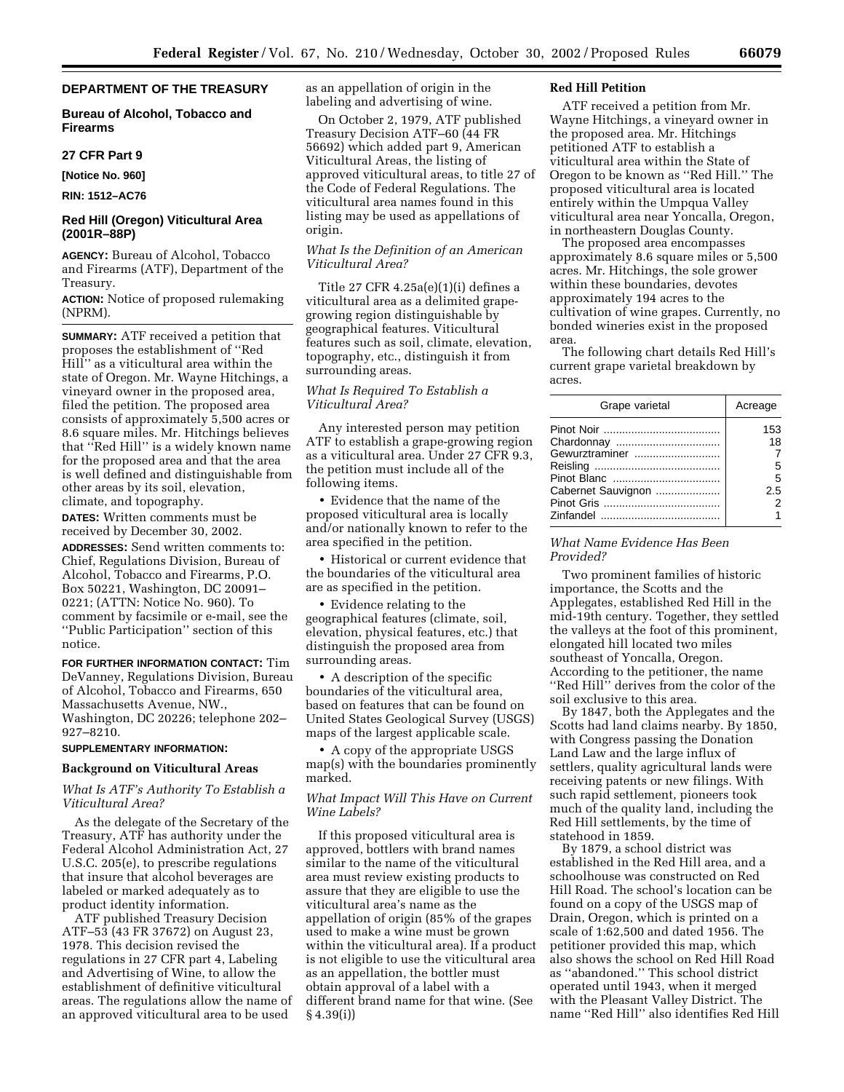# **DEPARTMENT OF THE TREASURY**

## **Bureau of Alcohol, Tobacco and Firearms**

## **27 CFR Part 9**

**[Notice No. 960]** 

**RIN: 1512–AC76** 

## **Red Hill (Oregon) Viticultural Area (2001R–88P)**

**AGENCY:** Bureau of Alcohol, Tobacco and Firearms (ATF), Department of the Treasury.

**ACTION:** Notice of proposed rulemaking (NPRM).

**SUMMARY:** ATF received a petition that proposes the establishment of ''Red Hill'' as a viticultural area within the state of Oregon. Mr. Wayne Hitchings, a vineyard owner in the proposed area, filed the petition. The proposed area consists of approximately 5,500 acres or 8.6 square miles. Mr. Hitchings believes that ''Red Hill'' is a widely known name for the proposed area and that the area is well defined and distinguishable from other areas by its soil, elevation, climate, and topography.

**DATES:** Written comments must be received by December 30, 2002.

**ADDRESSES:** Send written comments to: Chief, Regulations Division, Bureau of Alcohol, Tobacco and Firearms, P.O. Box 50221, Washington, DC 20091– 0221; (ATTN: Notice No. 960). To comment by facsimile or e-mail, see the ''Public Participation'' section of this notice.

**FOR FURTHER INFORMATION CONTACT:** Tim DeVanney, Regulations Division, Bureau of Alcohol, Tobacco and Firearms, 650 Massachusetts Avenue, NW., Washington, DC 20226; telephone 202– 927–8210.

# **SUPPLEMENTARY INFORMATION:**

# **Background on Viticultural Areas**

## *What Is ATF's Authority To Establish a Viticultural Area?*

As the delegate of the Secretary of the Treasury, ATF has authority under the Federal Alcohol Administration Act, 27 U.S.C. 205(e), to prescribe regulations that insure that alcohol beverages are labeled or marked adequately as to product identity information.

ATF published Treasury Decision ATF–53 (43 FR 37672) on August 23, 1978. This decision revised the regulations in 27 CFR part 4, Labeling and Advertising of Wine, to allow the establishment of definitive viticultural areas. The regulations allow the name of an approved viticultural area to be used

as an appellation of origin in the labeling and advertising of wine.

On October 2, 1979, ATF published Treasury Decision ATF–60 (44 FR 56692) which added part 9, American Viticultural Areas, the listing of approved viticultural areas, to title 27 of the Code of Federal Regulations. The viticultural area names found in this listing may be used as appellations of origin.

## *What Is the Definition of an American Viticultural Area?*

Title 27 CFR 4.25a(e)(1)(i) defines a viticultural area as a delimited grapegrowing region distinguishable by geographical features. Viticultural features such as soil, climate, elevation, topography, etc., distinguish it from surrounding areas.

### *What Is Required To Establish a Viticultural Area?*

Any interested person may petition ATF to establish a grape-growing region as a viticultural area. Under 27 CFR 9.3, the petition must include all of the following items.

• Evidence that the name of the proposed viticultural area is locally and/or nationally known to refer to the area specified in the petition.

• Historical or current evidence that the boundaries of the viticultural area are as specified in the petition.

• Evidence relating to the geographical features (climate, soil, elevation, physical features, etc.) that distinguish the proposed area from surrounding areas.

• A description of the specific boundaries of the viticultural area, based on features that can be found on United States Geological Survey (USGS) maps of the largest applicable scale.

• A copy of the appropriate USGS map(s) with the boundaries prominently marked.

# *What Impact Will This Have on Current Wine Labels?*

If this proposed viticultural area is approved, bottlers with brand names similar to the name of the viticultural area must review existing products to assure that they are eligible to use the viticultural area's name as the appellation of origin (85% of the grapes used to make a wine must be grown within the viticultural area). If a product is not eligible to use the viticultural area as an appellation, the bottler must obtain approval of a label with a different brand name for that wine. (See § 4.39(i))

### **Red Hill Petition**

ATF received a petition from Mr. Wayne Hitchings, a vineyard owner in the proposed area. Mr. Hitchings petitioned ATF to establish a viticultural area within the State of Oregon to be known as ''Red Hill.'' The proposed viticultural area is located entirely within the Umpqua Valley viticultural area near Yoncalla, Oregon, in northeastern Douglas County.

The proposed area encompasses approximately 8.6 square miles or 5,500 acres. Mr. Hitchings, the sole grower within these boundaries, devotes approximately 194 acres to the cultivation of wine grapes. Currently, no bonded wineries exist in the proposed area.

The following chart details Red Hill's current grape varietal breakdown by acres.

| Grape varietal | Acreage |
|----------------|---------|
|                | 153     |
|                | 18      |
| Gewurztraminer |         |
|                | 5       |
|                | 5       |
|                | 2.5     |
|                |         |
|                |         |

## *What Name Evidence Has Been Provided?*

Two prominent families of historic importance, the Scotts and the Applegates, established Red Hill in the mid-19th century. Together, they settled the valleys at the foot of this prominent, elongated hill located two miles southeast of Yoncalla, Oregon. According to the petitioner, the name ''Red Hill'' derives from the color of the soil exclusive to this area.

By 1847, both the Applegates and the Scotts had land claims nearby. By 1850, with Congress passing the Donation Land Law and the large influx of settlers, quality agricultural lands were receiving patents or new filings. With such rapid settlement, pioneers took much of the quality land, including the Red Hill settlements, by the time of statehood in 1859.

By 1879, a school district was established in the Red Hill area, and a schoolhouse was constructed on Red Hill Road. The school's location can be found on a copy of the USGS map of Drain, Oregon, which is printed on a scale of 1:62,500 and dated 1956. The petitioner provided this map, which also shows the school on Red Hill Road as ''abandoned.'' This school district operated until 1943, when it merged with the Pleasant Valley District. The name ''Red Hill'' also identifies Red Hill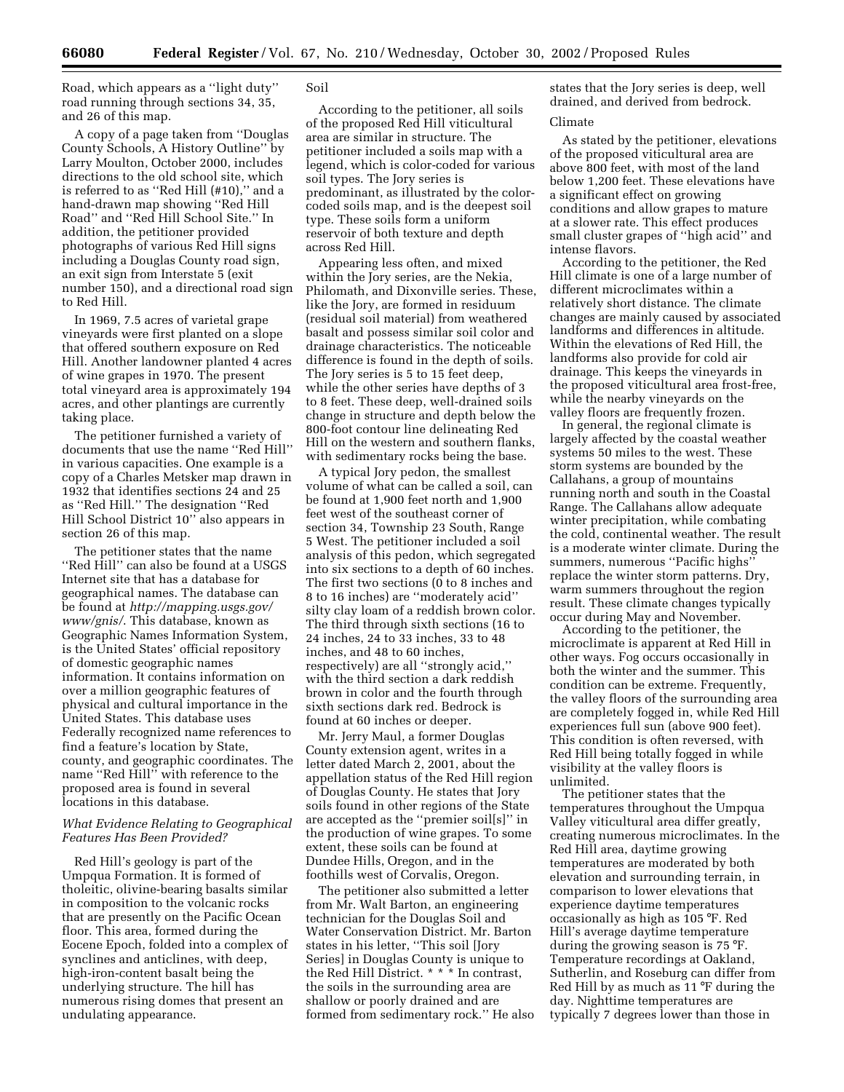Road, which appears as a ''light duty'' road running through sections 34, 35, and 26 of this map.

A copy of a page taken from ''Douglas County Schools, A History Outline'' by Larry Moulton, October 2000, includes directions to the old school site, which is referred to as "Red Hill (#10)," and a hand-drawn map showing ''Red Hill Road'' and ''Red Hill School Site.'' In addition, the petitioner provided photographs of various Red Hill signs including a Douglas County road sign, an exit sign from Interstate 5 (exit number 150), and a directional road sign to Red Hill.

In 1969, 7.5 acres of varietal grape vineyards were first planted on a slope that offered southern exposure on Red Hill. Another landowner planted 4 acres of wine grapes in 1970. The present total vineyard area is approximately 194 acres, and other plantings are currently taking place.

The petitioner furnished a variety of documents that use the name ''Red Hill'' in various capacities. One example is a copy of a Charles Metsker map drawn in 1932 that identifies sections 24 and 25 as ''Red Hill.'' The designation ''Red Hill School District 10'' also appears in section 26 of this map.

The petitioner states that the name ''Red Hill'' can also be found at a USGS Internet site that has a database for geographical names. The database can be found at *http://mapping.usgs.gov/ www/gnis/*. This database, known as Geographic Names Information System, is the United States' official repository of domestic geographic names information. It contains information on over a million geographic features of physical and cultural importance in the United States. This database uses Federally recognized name references to find a feature's location by State, county, and geographic coordinates. The name ''Red Hill'' with reference to the proposed area is found in several locations in this database.

## *What Evidence Relating to Geographical Features Has Been Provided?*

Red Hill's geology is part of the Umpqua Formation. It is formed of tholeitic, olivine-bearing basalts similar in composition to the volcanic rocks that are presently on the Pacific Ocean floor. This area, formed during the Eocene Epoch, folded into a complex of synclines and anticlines, with deep, high-iron-content basalt being the underlying structure. The hill has numerous rising domes that present an undulating appearance.

### Soil

According to the petitioner, all soils of the proposed Red Hill viticultural area are similar in structure. The petitioner included a soils map with a legend, which is color-coded for various soil types. The Jory series is predominant, as illustrated by the colorcoded soils map, and is the deepest soil type. These soils form a uniform reservoir of both texture and depth across Red Hill.

Appearing less often, and mixed within the Jory series, are the Nekia, Philomath, and Dixonville series. These, like the Jory, are formed in residuum (residual soil material) from weathered basalt and possess similar soil color and drainage characteristics. The noticeable difference is found in the depth of soils. The Jory series is 5 to 15 feet deep, while the other series have depths of 3 to 8 feet. These deep, well-drained soils change in structure and depth below the 800-foot contour line delineating Red Hill on the western and southern flanks, with sedimentary rocks being the base.

A typical Jory pedon, the smallest volume of what can be called a soil, can be found at 1,900 feet north and 1,900 feet west of the southeast corner of section 34, Township 23 South, Range 5 West. The petitioner included a soil analysis of this pedon, which segregated into six sections to a depth of 60 inches. The first two sections (0 to 8 inches and 8 to 16 inches) are ''moderately acid'' silty clay loam of a reddish brown color. The third through sixth sections (16 to 24 inches, 24 to 33 inches, 33 to 48 inches, and 48 to 60 inches, respectively) are all ''strongly acid,'' with the third section a dark reddish brown in color and the fourth through sixth sections dark red. Bedrock is found at 60 inches or deeper.

Mr. Jerry Maul, a former Douglas County extension agent, writes in a letter dated March 2, 2001, about the appellation status of the Red Hill region of Douglas County. He states that Jory soils found in other regions of the State are accepted as the ''premier soil[s]'' in the production of wine grapes. To some extent, these soils can be found at Dundee Hills, Oregon, and in the foothills west of Corvalis, Oregon.

The petitioner also submitted a letter from Mr. Walt Barton, an engineering technician for the Douglas Soil and Water Conservation District. Mr. Barton states in his letter, ''This soil [Jory Series] in Douglas County is unique to the Red Hill District. \* \* \* In contrast, the soils in the surrounding area are shallow or poorly drained and are formed from sedimentary rock.'' He also states that the Jory series is deep, well drained, and derived from bedrock.

#### Climate

As stated by the petitioner, elevations of the proposed viticultural area are above 800 feet, with most of the land below 1,200 feet. These elevations have a significant effect on growing conditions and allow grapes to mature at a slower rate. This effect produces small cluster grapes of ''high acid'' and intense flavors.

According to the petitioner, the Red Hill climate is one of a large number of different microclimates within a relatively short distance. The climate changes are mainly caused by associated landforms and differences in altitude. Within the elevations of Red Hill, the landforms also provide for cold air drainage. This keeps the vineyards in the proposed viticultural area frost-free, while the nearby vineyards on the valley floors are frequently frozen.

In general, the regional climate is largely affected by the coastal weather systems 50 miles to the west. These storm systems are bounded by the Callahans, a group of mountains running north and south in the Coastal Range. The Callahans allow adequate winter precipitation, while combating the cold, continental weather. The result is a moderate winter climate. During the summers, numerous ''Pacific highs'' replace the winter storm patterns. Dry, warm summers throughout the region result. These climate changes typically occur during May and November.

According to the petitioner, the microclimate is apparent at Red Hill in other ways. Fog occurs occasionally in both the winter and the summer. This condition can be extreme. Frequently, the valley floors of the surrounding area are completely fogged in, while Red Hill experiences full sun (above 900 feet). This condition is often reversed, with Red Hill being totally fogged in while visibility at the valley floors is unlimited.

The petitioner states that the temperatures throughout the Umpqua Valley viticultural area differ greatly, creating numerous microclimates. In the Red Hill area, daytime growing temperatures are moderated by both elevation and surrounding terrain, in comparison to lower elevations that experience daytime temperatures occasionally as high as 105 °F. Red Hill's average daytime temperature during the growing season is 75 °F. Temperature recordings at Oakland, Sutherlin, and Roseburg can differ from Red Hill by as much as 11 °F during the day. Nighttime temperatures are typically 7 degrees lower than those in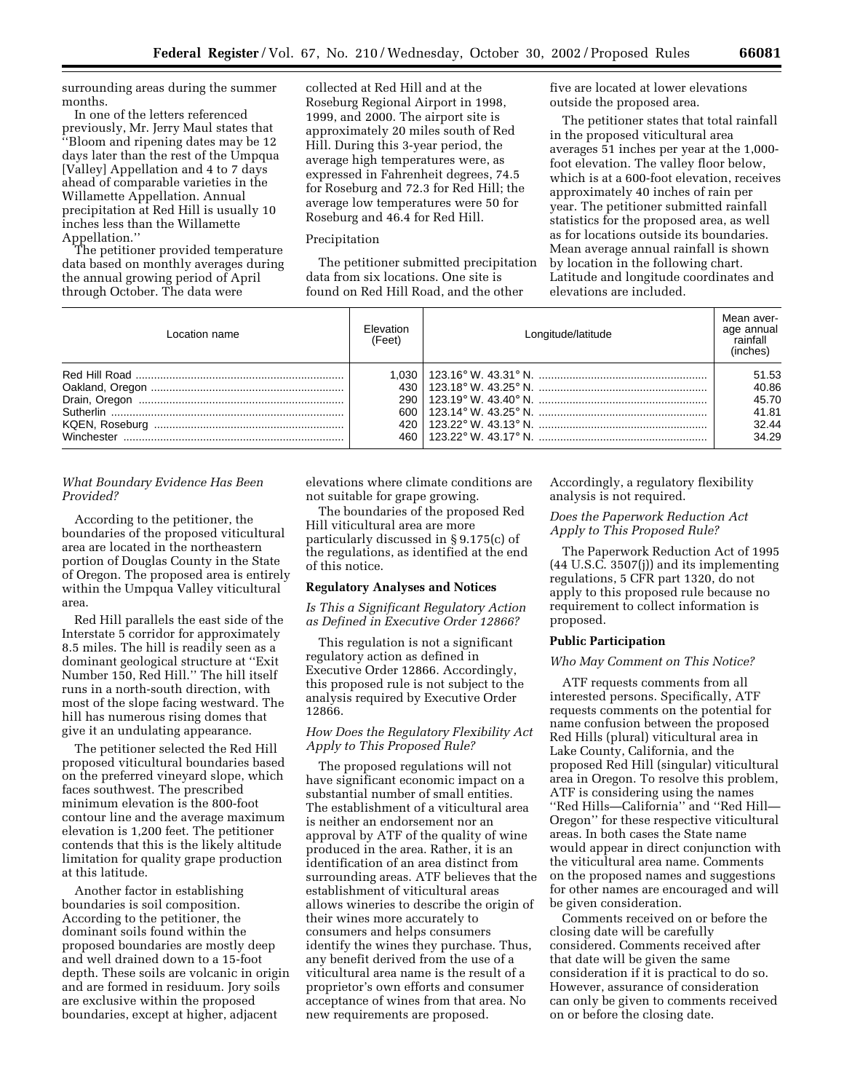surrounding areas during the summer months.

In one of the letters referenced previously, Mr. Jerry Maul states that ''Bloom and ripening dates may be 12 days later than the rest of the Umpqua [Valley] Appellation and 4 to 7 days ahead of comparable varieties in the Willamette Appellation. Annual precipitation at Red Hill is usually 10 inches less than the Willamette Appellation.''

The petitioner provided temperature data based on monthly averages during the annual growing period of April through October. The data were

collected at Red Hill and at the Roseburg Regional Airport in 1998, 1999, and 2000. The airport site is approximately 20 miles south of Red Hill. During this 3-year period, the average high temperatures were, as expressed in Fahrenheit degrees, 74.5 for Roseburg and 72.3 for Red Hill; the average low temperatures were 50 for Roseburg and 46.4 for Red Hill.

#### Precipitation

The petitioner submitted precipitation data from six locations. One site is found on Red Hill Road, and the other

five are located at lower elevations outside the proposed area.

The petitioner states that total rainfall in the proposed viticultural area averages 51 inches per year at the 1,000 foot elevation. The valley floor below, which is at a 600-foot elevation, receives approximately 40 inches of rain per year. The petitioner submitted rainfall statistics for the proposed area, as well as for locations outside its boundaries. Mean average annual rainfall is shown by location in the following chart. Latitude and longitude coordinates and elevations are included.

| Location name | Elevation<br>(Feet) | Longitude/latitude                                                                                                                                                  | Mean aver-<br>age annual<br>rainfall<br>(inches) |
|---------------|---------------------|---------------------------------------------------------------------------------------------------------------------------------------------------------------------|--------------------------------------------------|
|               |                     |                                                                                                                                                                     | 51.53                                            |
|               |                     |                                                                                                                                                                     | 40.86                                            |
|               |                     |                                                                                                                                                                     | 45.70                                            |
|               |                     |                                                                                                                                                                     | 41.81                                            |
|               | 420.                |                                                                                                                                                                     | 32.44                                            |
|               |                     | $460$   123.22° W, 43.17° N, $\ldots$ $\ldots$ $\ldots$ $\ldots$ $\ldots$ $\ldots$ $\ldots$ $\ldots$ $\ldots$ $\ldots$ $\ldots$ $\ldots$ $\ldots$ $\ldots$ $\ldots$ | 34.29                                            |

### *What Boundary Evidence Has Been Provided?*

According to the petitioner, the boundaries of the proposed viticultural area are located in the northeastern portion of Douglas County in the State of Oregon. The proposed area is entirely within the Umpqua Valley viticultural area.

Red Hill parallels the east side of the Interstate 5 corridor for approximately 8.5 miles. The hill is readily seen as a dominant geological structure at ''Exit Number 150, Red Hill.'' The hill itself runs in a north-south direction, with most of the slope facing westward. The hill has numerous rising domes that give it an undulating appearance.

The petitioner selected the Red Hill proposed viticultural boundaries based on the preferred vineyard slope, which faces southwest. The prescribed minimum elevation is the 800-foot contour line and the average maximum elevation is 1,200 feet. The petitioner contends that this is the likely altitude limitation for quality grape production at this latitude.

Another factor in establishing boundaries is soil composition. According to the petitioner, the dominant soils found within the proposed boundaries are mostly deep and well drained down to a 15-foot depth. These soils are volcanic in origin and are formed in residuum. Jory soils are exclusive within the proposed boundaries, except at higher, adjacent

elevations where climate conditions are not suitable for grape growing.

The boundaries of the proposed Red Hill viticultural area are more particularly discussed in § 9.175(c) of the regulations, as identified at the end of this notice.

### **Regulatory Analyses and Notices**

*Is This a Significant Regulatory Action as Defined in Executive Order 12866?* 

This regulation is not a significant regulatory action as defined in Executive Order 12866. Accordingly, this proposed rule is not subject to the analysis required by Executive Order 12866.

## *How Does the Regulatory Flexibility Act Apply to This Proposed Rule?*

The proposed regulations will not have significant economic impact on a substantial number of small entities. The establishment of a viticultural area is neither an endorsement nor an approval by ATF of the quality of wine produced in the area. Rather, it is an identification of an area distinct from surrounding areas. ATF believes that the establishment of viticultural areas allows wineries to describe the origin of their wines more accurately to consumers and helps consumers identify the wines they purchase. Thus, any benefit derived from the use of a viticultural area name is the result of a proprietor's own efforts and consumer acceptance of wines from that area. No new requirements are proposed.

Accordingly, a regulatory flexibility analysis is not required.

# *Does the Paperwork Reduction Act Apply to This Proposed Rule?*

The Paperwork Reduction Act of 1995 (44 U.S.C. 3507(j)) and its implementing regulations, 5 CFR part 1320, do not apply to this proposed rule because no requirement to collect information is proposed.

#### **Public Participation**

#### *Who May Comment on This Notice?*

ATF requests comments from all interested persons. Specifically, ATF requests comments on the potential for name confusion between the proposed Red Hills (plural) viticultural area in Lake County, California, and the proposed Red Hill (singular) viticultural area in Oregon. To resolve this problem, ATF is considering using the names ''Red Hills—California'' and ''Red Hill— Oregon'' for these respective viticultural areas. In both cases the State name would appear in direct conjunction with the viticultural area name. Comments on the proposed names and suggestions for other names are encouraged and will be given consideration.

Comments received on or before the closing date will be carefully considered. Comments received after that date will be given the same consideration if it is practical to do so. However, assurance of consideration can only be given to comments received on or before the closing date.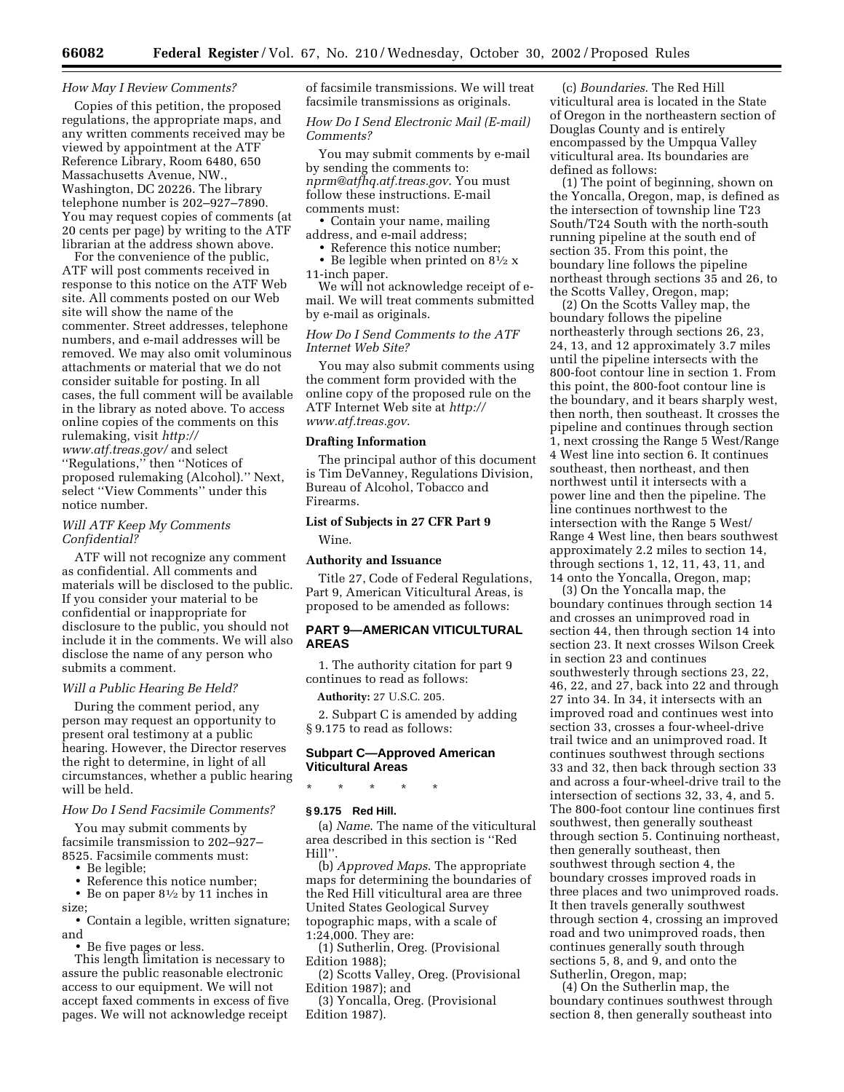### *How May I Review Comments?*

Copies of this petition, the proposed regulations, the appropriate maps, and any written comments received may be viewed by appointment at the ATF Reference Library, Room 6480, 650 Massachusetts Avenue, NW., Washington, DC 20226. The library telephone number is 202–927–7890. You may request copies of comments (at 20 cents per page) by writing to the ATF librarian at the address shown above.

For the convenience of the public, ATF will post comments received in response to this notice on the ATF Web site. All comments posted on our Web site will show the name of the commenter. Street addresses, telephone numbers, and e-mail addresses will be removed. We may also omit voluminous attachments or material that we do not consider suitable for posting. In all cases, the full comment will be available in the library as noted above. To access online copies of the comments on this rulemaking, visit *http:// www.atf.treas.gov/* and select ''Regulations,'' then ''Notices of proposed rulemaking (Alcohol).'' Next, select ''View Comments'' under this notice number.

# *Will ATF Keep My Comments Confidential?*

ATF will not recognize any comment as confidential. All comments and materials will be disclosed to the public. If you consider your material to be confidential or inappropriate for disclosure to the public, you should not include it in the comments. We will also disclose the name of any person who submits a comment.

#### *Will a Public Hearing Be Held?*

During the comment period, any person may request an opportunity to present oral testimony at a public hearing. However, the Director reserves the right to determine, in light of all circumstances, whether a public hearing will be held.

## *How Do I Send Facsimile Comments?*

You may submit comments by facsimile transmission to 202–927– 8525. Facsimile comments must:

• Be legible;

- Reference this notice number;
- Be on paper 8<sup>1</sup>/<sub>2</sub> by 11 inches in size;

• Contain a legible, written signature; and

• Be five pages or less.

This length limitation is necessary to assure the public reasonable electronic access to our equipment. We will not accept faxed comments in excess of five pages. We will not acknowledge receipt of facsimile transmissions. We will treat facsimile transmissions as originals.

### *How Do I Send Electronic Mail (E-mail) Comments?*

You may submit comments by e-mail by sending the comments to: *nprm@atfhq.atf.treas.gov*. You must follow these instructions. E-mail comments must:

• Contain your name, mailing address, and e-mail address;

- Reference this notice number;
- Be legible when printed on  $8\frac{1}{2}x$
- 11-inch paper.

We will not acknowledge receipt of email. We will treat comments submitted by e-mail as originals.

## *How Do I Send Comments to the ATF Internet Web Site?*

You may also submit comments using the comment form provided with the online copy of the proposed rule on the ATF Internet Web site at *http:// www.atf.treas.gov*.

#### **Drafting Information**

The principal author of this document is Tim DeVanney, Regulations Division, Bureau of Alcohol, Tobacco and Firearms.

## **List of Subjects in 27 CFR Part 9**  Wine.

## **Authority and Issuance**

Title 27, Code of Federal Regulations, Part 9, American Viticultural Areas, is proposed to be amended as follows:

## **PART 9—AMERICAN VITICULTURAL AREAS**

1. The authority citation for part 9 continues to read as follows:

**Authority:** 27 U.S.C. 205.

2. Subpart C is amended by adding § 9.175 to read as follows:

## **Subpart C—Approved American Viticultural Areas**

\* \* \* \* \*

### **§ 9.175 Red Hill.**

(a) *Name*. The name of the viticultural area described in this section is ''Red Hill''.

(b) *Approved Maps*. The appropriate maps for determining the boundaries of the Red Hill viticultural area are three United States Geological Survey topographic maps, with a scale of 1:24,000. They are:

(1) Sutherlin, Oreg. (Provisional Edition 1988);

(2) Scotts Valley, Oreg. (Provisional Edition 1987); and

(3) Yoncalla, Oreg. (Provisional Edition 1987).

(c) *Boundaries*. The Red Hill viticultural area is located in the State of Oregon in the northeastern section of Douglas County and is entirely encompassed by the Umpqua Valley viticultural area. Its boundaries are defined as follows:

(1) The point of beginning, shown on the Yoncalla, Oregon, map, is defined as the intersection of township line T23 South/T24 South with the north-south running pipeline at the south end of section 35. From this point, the boundary line follows the pipeline northeast through sections 35 and 26, to the Scotts Valley, Oregon, map;

(2) On the Scotts Valley map, the boundary follows the pipeline northeasterly through sections 26, 23, 24, 13, and 12 approximately 3.7 miles until the pipeline intersects with the 800-foot contour line in section 1. From this point, the 800-foot contour line is the boundary, and it bears sharply west, then north, then southeast. It crosses the pipeline and continues through section 1, next crossing the Range 5 West/Range 4 West line into section 6. It continues southeast, then northeast, and then northwest until it intersects with a power line and then the pipeline. The line continues northwest to the intersection with the Range 5 West/ Range 4 West line, then bears southwest approximately 2.2 miles to section 14, through sections 1, 12, 11, 43, 11, and 14 onto the Yoncalla, Oregon, map;

(3) On the Yoncalla map, the boundary continues through section 14 and crosses an unimproved road in section 44, then through section 14 into section 23. It next crosses Wilson Creek in section 23 and continues southwesterly through sections 23, 22, 46, 22, and 27, back into 22 and through 27 into 34. In 34, it intersects with an improved road and continues west into section 33, crosses a four-wheel-drive trail twice and an unimproved road. It continues southwest through sections 33 and 32, then back through section 33 and across a four-wheel-drive trail to the intersection of sections 32, 33, 4, and 5. The 800-foot contour line continues first southwest, then generally southeast through section 5. Continuing northeast, then generally southeast, then southwest through section 4, the boundary crosses improved roads in three places and two unimproved roads. It then travels generally southwest through section 4, crossing an improved road and two unimproved roads, then continues generally south through sections 5, 8, and 9, and onto the Sutherlin, Oregon, map;

(4) On the Sutherlin map, the boundary continues southwest through section 8, then generally southeast into